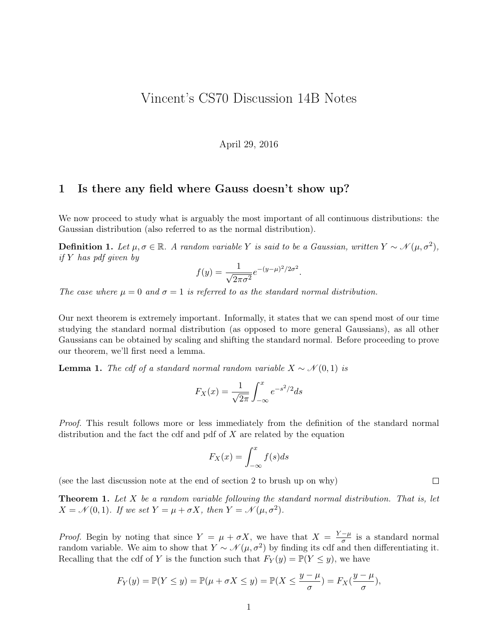## Vincent's CS70 Discussion 14B Notes

April 29, 2016

## 1 Is there any field where Gauss doesn't show up?

We now proceed to study what is arguably the most important of all continuous distributions: the Gaussian distribution (also referred to as the normal distribution).

**Definition 1.** Let  $\mu, \sigma \in \mathbb{R}$ . A random variable Y is said to be a Gaussian, written  $Y \sim \mathcal{N}(\mu, \sigma^2)$ , if Y has pdf given by

$$
f(y) = \frac{1}{\sqrt{2\pi\sigma^2}} e^{-(y-\mu)^2/2\sigma^2}.
$$

The case where  $\mu = 0$  and  $\sigma = 1$  is referred to as the standard normal distribution.

Our next theorem is extremely important. Informally, it states that we can spend most of our time studying the standard normal distribution (as opposed to more general Gaussians), as all other Gaussians can be obtained by scaling and shifting the standard normal. Before proceeding to prove our theorem, we'll first need a lemma.

**Lemma 1.** The cdf of a standard normal random variable  $X \sim \mathcal{N}(0, 1)$  is

$$
F_X(x) = \frac{1}{\sqrt{2\pi}} \int_{-\infty}^{x} e^{-s^2/2} ds
$$

Proof. This result follows more or less immediately from the definition of the standard normal distribution and the fact the cdf and pdf of  $X$  are related by the equation

$$
F_X(x) = \int_{-\infty}^x f(s)ds
$$

 $\Box$ 

(see the last discussion note at the end of section 2 to brush up on why)

**Theorem 1.** Let  $X$  be a random variable following the standard normal distribution. That is, let  $X = \mathcal{N}(0, 1)$ . If we set  $Y = \mu + \sigma X$ , then  $Y = \mathcal{N}(\mu, \sigma^2)$ .

*Proof.* Begin by noting that since  $Y = \mu + \sigma X$ , we have that  $X = \frac{Y - \mu}{\sigma}$  $\frac{-\mu}{\sigma}$  is a standard normal random variable. We aim to show that  $Y \sim \mathcal{N}(\mu, \sigma^2)$  by finding its cdf and then differentiating it. Recalling that the cdf of Y is the function such that  $F_Y(y) = \mathbb{P}(Y \leq y)$ , we have

$$
F_Y(y) = \mathbb{P}(Y \le y) = \mathbb{P}(\mu + \sigma X \le y) = \mathbb{P}(X \le \frac{y - \mu}{\sigma}) = F_X(\frac{y - \mu}{\sigma}),
$$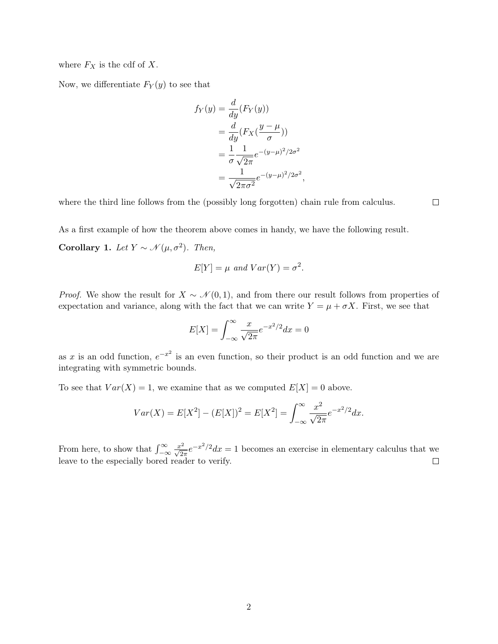where  $F_X$  is the cdf of X.

Now, we differentiate  $F_Y(y)$  to see that

$$
f_Y(y) = \frac{d}{dy}(F_Y(y))
$$
  
= 
$$
\frac{d}{dy}(F_X(\frac{y-\mu}{\sigma}))
$$
  
= 
$$
\frac{1}{\sigma} \frac{1}{\sqrt{2\pi}} e^{-(y-\mu)^2/2\sigma^2}
$$
  
= 
$$
\frac{1}{\sqrt{2\pi\sigma^2}} e^{-(y-\mu)^2/2\sigma^2},
$$

where the third line follows from the (possibly long forgotten) chain rule from calculus.

 $\Box$ 

As a first example of how the theorem above comes in handy, we have the following result.

Corollary 1. Let  $Y \sim \mathcal{N}(\mu, \sigma^2)$ . Then,

$$
E[Y] = \mu \text{ and } Var(Y) = \sigma^2.
$$

*Proof.* We show the result for  $X \sim \mathcal{N}(0, 1)$ , and from there our result follows from properties of expectation and variance, along with the fact that we can write  $Y = \mu + \sigma X$ . First, we see that

$$
E[X] = \int_{-\infty}^{\infty} \frac{x}{\sqrt{2\pi}} e^{-x^2/2} dx = 0
$$

as x is an odd function,  $e^{-x^2}$  is an even function, so their product is an odd function and we are integrating with symmetric bounds.

To see that  $Var(X) = 1$ , we examine that as we computed  $E[X] = 0$  above.

$$
Var(X) = E[X2] - (E[X])2 = E[X2] = \int_{-\infty}^{\infty} \frac{x^{2}}{\sqrt{2\pi}} e^{-x^{2}/2} dx.
$$

From here, to show that  $\int_{-\infty}^{\infty}$  $\frac{x^2}{\sqrt{2\pi}}e^{-x^2/2}dx=1$  becomes an exercise in elementary calculus that we leave to the especially bored reader to verify.  $\Box$